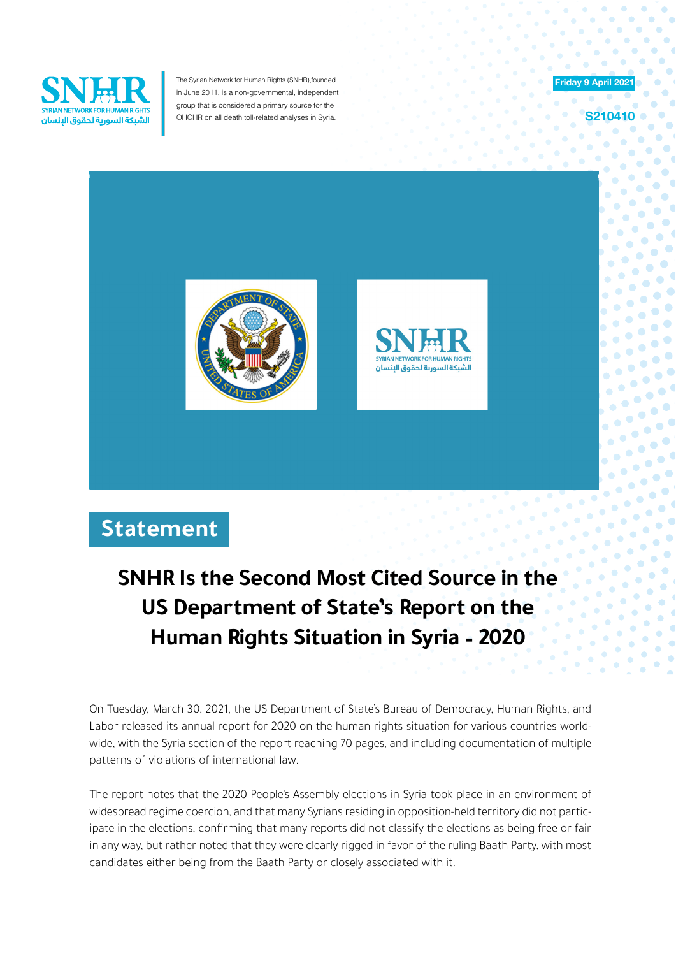

The Syrian Network for Human Rights (SNHR), founded in June 2011, is a non-governmental, independent group that is considered a primary source for the OHCHR on all death toll-related analyses in Syria.



**210410** 

G  $\bullet$ 

 $\bullet$ 

 $\bullet$  $\bullet$  $\bullet$  $\bullet$  $\bullet$ 



## **Statement**

## **SNHR** Is the Second Most Cited Source in the **US Department of State's Report on the Human Rights Situation in Syria - 2020**

On Tuesday, March 30, 2021, the US Department of State's Bureau of Democracy, Human Rights, and wide, with the Syria section of the report reaching 70 pages, and including documentation of multiple Labor released its annual report for 2020 on the human rights situation for various countries worldpatterns of violations of international law.

The report notes that the 2020 People's Assembly elections in Syria took place in an environment of ipate in the elections, confirming that many reports did not classify the elections as being free or fair widespread regime coercion, and that many Syrians residing in opposition-held territory did not particin any way, but rather noted that they were clearly rigged in favor of the ruling Baath Party, with most candidates either being from the Baath Party or closely associated with it.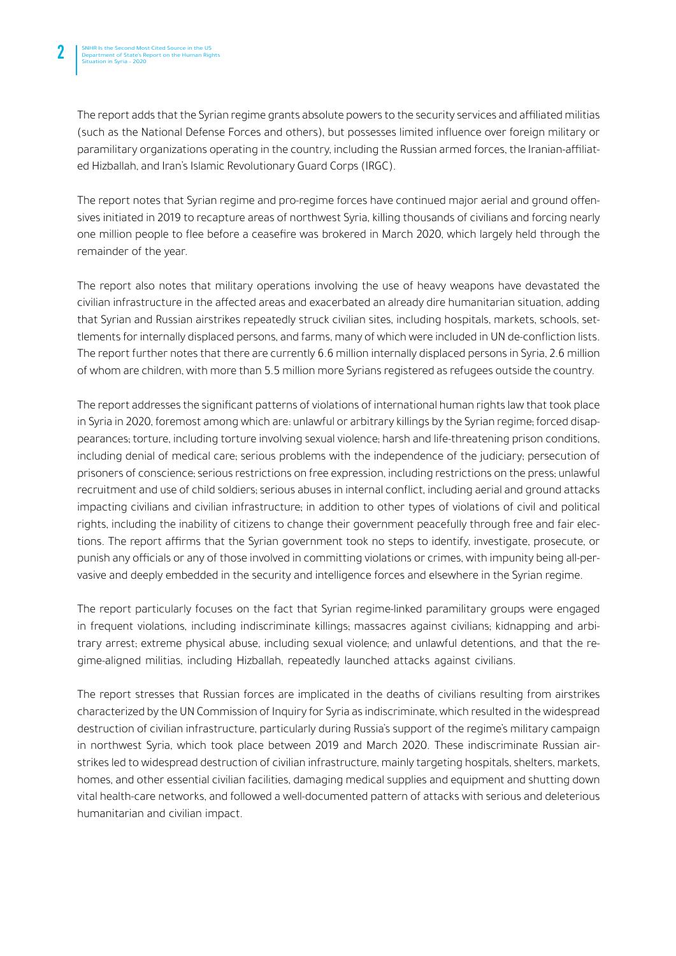The report adds that the Syrian regime grants absolute powers to the security services and affiliated militias (such as the National Defense Forces and others), but possesses limited influence over foreign military or paramilitary organizations operating in the country, including the Russian armed forces, the Iranian-affiliat-<br>ed Hizballah, and Iran's Islamic Revolutionary Guard Corps (IRGC).

sives initiated in 2019 to recapture areas of northwest Syria, killing thousands of civilians and forcing nearly The report notes that Syrian regime and pro-regime forces have continued major aerial and ground offenone million people to flee before a ceasefire was brokered in March 2020, which largely held through the remainder of the year.

The report also notes that military operations involving the use of heavy weapons have devastated the civilian infrastructure in the affected areas and exacerbated an already dire humanitarian situation, adding tlements for internally displaced persons, and farms, many of which were included in UN de-confliction lists. that Syrian and Russian airstrikes repeatedly struck civilian sites, including hospitals, markets, schools, set-The report further notes that there are currently 6.6 million internally displaced persons in Syria, 2.6 million of whom are children, with more than 5.5 million more Syrians registered as refugees outside the country.

The report addresses the significant patterns of violations of international human rights law that took place pearances; torture, including torture involving sexual violence; harsh and life-threatening prison conditions, in Syria in 2020, foremost among which are: unlawful or arbitrary killings by the Syrian regime; forced disapincluding denial of medical care, serious problems with the independence of the judiciary, persecution of prisoners of conscience; serious restrictions on free expression, including restrictions on the press; unlawful recruitment and use of child soldiers; serious abuses in internal conflict, including aerial and ground attacks impacting civilians and civilian infrastructure, in addition to other types of violations of civil and political tions. The report affirms that the Syrian government took no steps to identify, investigate, prosecute, or rights, including the inability of citizens to change their government peacefully through free and fair elecvasive and deeply embedded in the security and intelligence forces and elsewhere in the Syrian regime. punish any officials or any of those involved in committing violations or crimes, with impunity being all-per-

The report particularly focuses on the fact that Syrian regime-linked paramilitary groups were engaged gime-aligned militias, including Hizballah, repeatedly launched attacks against civilians. trary arrest; extreme physical abuse, including sexual violence; and unlawful detentions, and that the rein frequent violations, including indiscriminate killings; massacres against civilians; kidnapping and arbi-

The report stresses that Russian forces are implicated in the deaths of civilians resulting from airstrikes characterized by the UN Commission of Inquiry for Syria as indiscriminate, which resulted in the widespread destruction of civilian infrastructure, particularly during Russia's support of the regime's military campaign strikes led to widespread destruction of civilian infrastructure, mainly targeting hospitals, shelters, markets, in northwest Syria, which took place between 2019 and March 2020. These indiscriminate Russian airhomes, and other essential civilian facilities, damaging medical supplies and equipment and shutting down vital health-care networks, and followed a well-documented pattern of attacks with serious and deleterious humanitarian and civilian impact.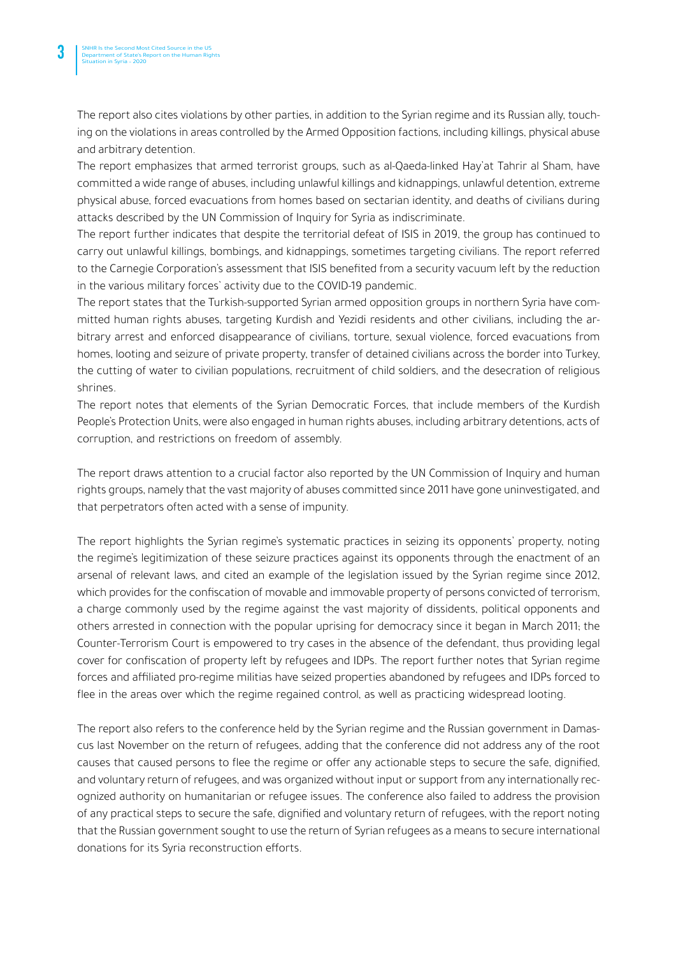ing on the violations in areas controlled by the Armed Opposition factions, including killings, physical abuse The report also cites violations by other parties, in addition to the Syrian regime and its Russian ally, touchand arbitrary detention.

The report emphasizes that armed terrorist groups, such as al-Qaeda-linked Hay'at Tahrir al Sham, have committed a wide range of abuses, including unlawful killings and kidnappings, unlawful detention, extreme physical abuse, forced evacuations from homes based on sectarian identity, and deaths of civilians during attacks described by the UN Commission of Inquiry for Syria as indiscriminate.

The report further indicates that despite the territorial defeat of ISIS in 2019, the group has continued to carry out unlawful killings, bombings, and kidnappings, sometimes targeting civilians. The report referred to the Carnegie Corporation's assessment that ISIS benefited from a security vacuum left by the reduction in the various military forces' activity due to the COVID-19 pandemic.

bitrary arrest and enforced disappearance of civilians, torture, sexual violence, forced evacuations from mitted human rights abuses, targeting Kurdish and Yezidi residents and other civilians, including the ar-The report states that the Turkish-supported Syrian armed opposition groups in northern Syria have comhomes, looting and seizure of private property, transfer of detained civilians across the border into Turkey, the cutting of water to civilian populations, recruitment of child soldiers, and the desecration of religious .shrines

The report notes that elements of the Syrian Democratic Forces, that include members of the Kurdish People's Protection Units, were also engaged in human rights abuses, including arbitrary detentions, acts of corruption, and restrictions on freedom of assembly.

The report draws attention to a crucial factor also reported by the UN Commission of Inquiry and human rights groups, namely that the vast majority of abuses committed since 2011 have gone uninvestigated, and that perpetrators often acted with a sense of impunity.

The report highlights the Syrian regime's systematic practices in seizing its opponents' property, noting the regime's legitimization of these seizure practices against its opponents through the enactment of an arsenal of relevant laws, and cited an example of the legislation issued by the Syrian regime since 2012, which provides for the confiscation of movable and immovable property of persons convicted of terrorism, a charge commonly used by the regime against the vast majority of dissidents, political opponents and others arrested in connection with the popular uprising for democracy since it began in March 2011; the Counter-Terrorism Court is empowered to try cases in the absence of the defendant, thus providing legal cover for confiscation of property left by refugees and IDPs. The report further notes that Syrian regime forces and affiliated pro-regime militias have seized properties abandoned by refugees and IDPs forced to flee in the areas over which the regime regained control, as well as practicing widespread looting.

cus last November on the return of refugees, adding that the conference did not address any of the root The report also refers to the conference held by the Syrian regime and the Russian government in Damascauses that caused persons to flee the regime or offer any actionable steps to secure the safe, dignified, ognized authority on humanitarian or refugee issues. The conference also failed to address the provision and voluntary return of refugees, and was organized without input or support from any internationally recof any practical steps to secure the safe, dignified and voluntary return of refugees, with the report noting that the Russian government sought to use the return of Syrian refugees as a means to secure international donations for its Syria reconstruction efforts.